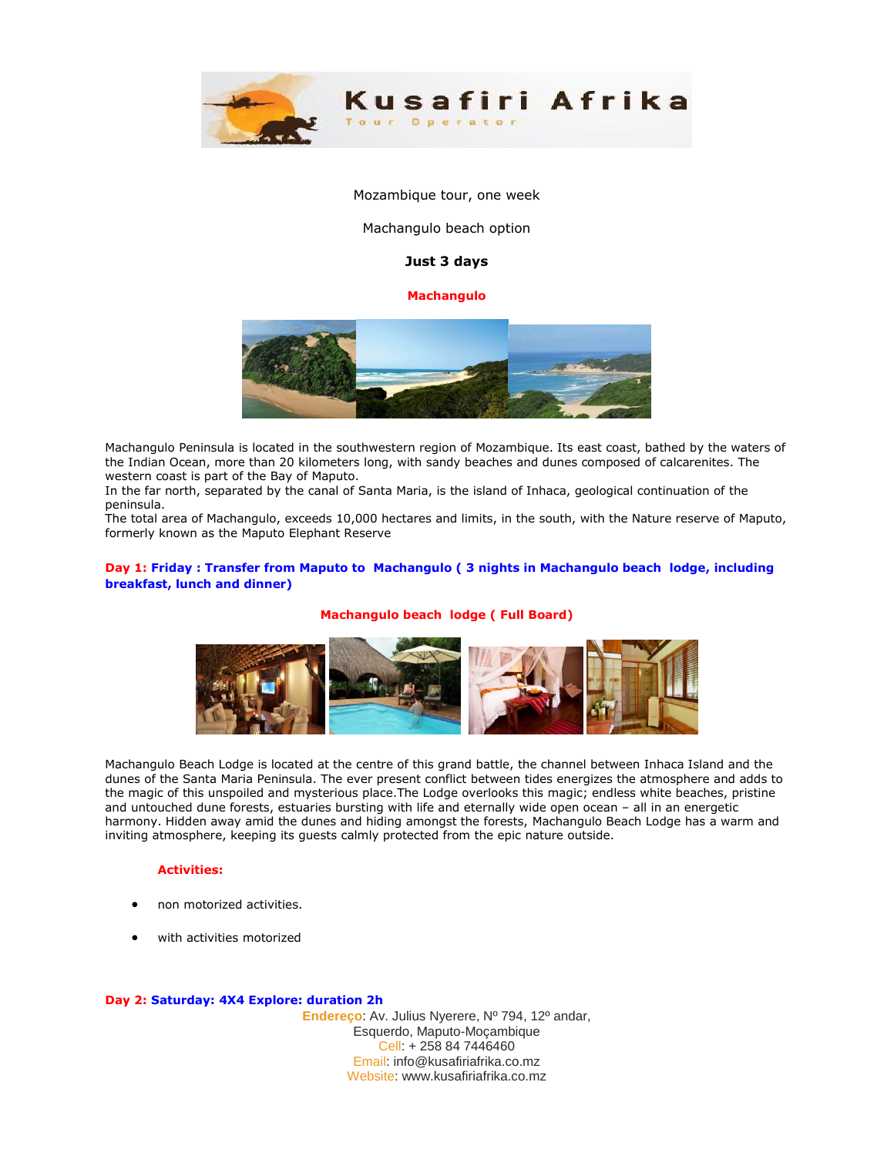

Mozambique tour, one week

Machangulo beach option

# **Just 3 days**

## **Machangulo**



Machangulo Peninsula is located in the southwestern region of Mozambique. Its east coast, bathed by the waters of the Indian Ocean, more than 20 kilometers long, with sandy beaches and dunes composed of calcarenites. The western coast is part of the Bay of Maputo.

In the far north, separated by the canal of Santa Maria, is the island of Inhaca, geological continuation of the peninsula.

The total area of Machangulo, exceeds 10,000 hectares and limits, in the south, with the Nature reserve of Maputo, formerly known as the Maputo Elephant Reserve

## **Day 1: Friday : Transfer from Maputo to Machangulo ( 3 nights in Machangulo beach lodge, including breakfast, lunch and dinner)**

### **Machangulo beach lodge ( Full Board)**



Machangulo Beach Lodge is located at the centre of this grand battle, the channel between Inhaca Island and the dunes of the Santa Maria Peninsula. The ever present conflict between tides energizes the atmosphere and adds to the magic of this unspoiled and mysterious place.The Lodge overlooks this magic; endless white beaches, pristine and untouched dune forests, estuaries bursting with life and eternally wide open ocean – all in an energetic harmony. Hidden away amid the dunes and hiding amongst the forests, Machangulo Beach Lodge has a warm and inviting atmosphere, keeping its guests calmly protected from the epic nature outside.

#### **Activities:**

- non motorized activities.
- with activities motorized

### **Day 2: Saturday: 4X4 Explore: duration 2h**

**Endereço**: Av. Julius Nyerere, Nº 794, 12º andar, Esquerdo, Maputo-Moçambique Cell: + 258 84 7446460 Email: info@kusafiriafrika.co.mz Website: www.kusafiriafrika.co.mz